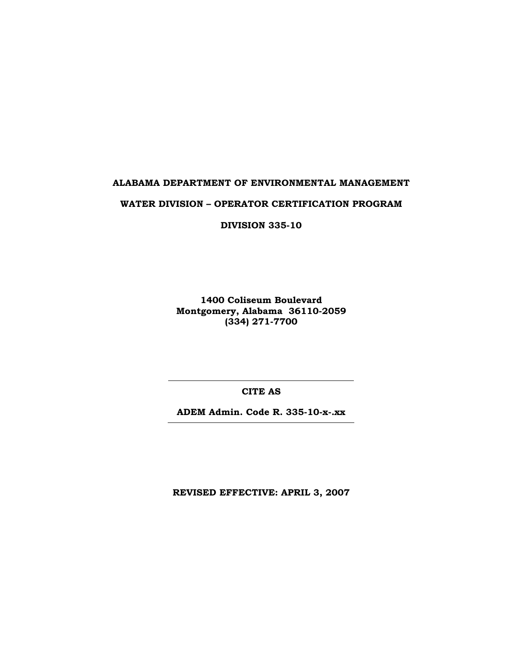# **ALABAMA DEPARTMENT OF ENVIRONMENTAL MANAGEMENT**

#### **WATER DIVISION – OPERATOR CERTIFICATION PROGRAM**

**DIVISION 335-10** 

**1400 Coliseum Boulevard Montgomery, Alabama 36110-2059 (334) 271-7700** 

**CITE AS** 

**ADEM Admin. Code R. 335-10-x-.xx** 

**REVISED EFFECTIVE: APRIL 3, 2007**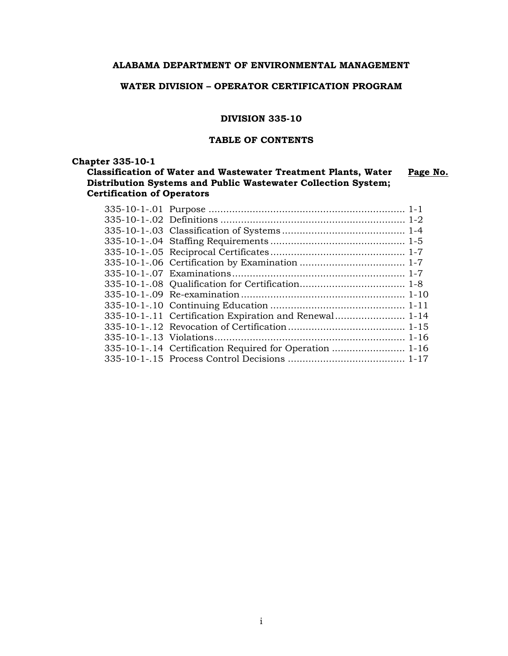# **ALABAMA DEPARTMENT OF ENVIRONMENTAL MANAGEMENT**

## **WATER DIVISION – OPERATOR CERTIFICATION PROGRAM**

#### **DIVISION 335-10**

## **TABLE OF CONTENTS**

**Chapter 335-10-1** 

**Classification of Water and Wastewater Treatment Plants, Water Distribution Systems and Public Wastewater Collection System; Certification of Operators Page No.**

| 335-10-1-.11 Certification Expiration and Renewal 1-14  |  |
|---------------------------------------------------------|--|
|                                                         |  |
|                                                         |  |
| 335-10-1-.14 Certification Required for Operation  1-16 |  |
|                                                         |  |
|                                                         |  |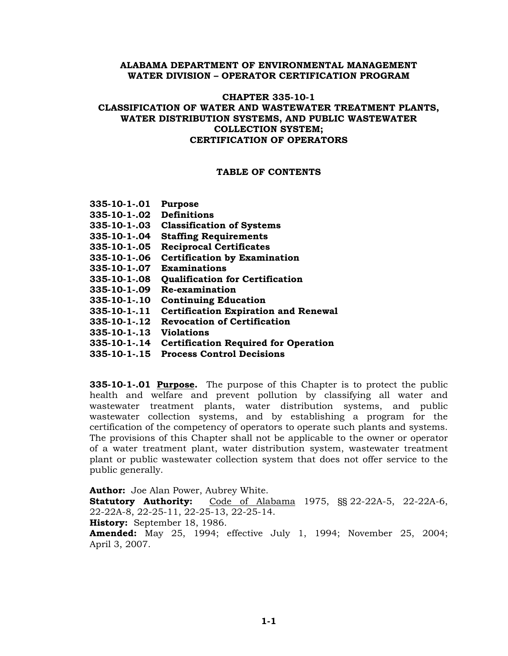#### **ALABAMA DEPARTMENT OF ENVIRONMENTAL MANAGEMENT WATER DIVISION – OPERATOR CERTIFICATION PROGRAM**

## **CHAPTER 335-10-1 CLASSIFICATION OF WATER AND WASTEWATER TREATMENT PLANTS, WATER DISTRIBUTION SYSTEMS, AND PUBLIC WASTEWATER COLLECTION SYSTEM; CERTIFICATION OF OPERATORS**

#### **TABLE OF CONTENTS**

| 335-10-1-.01 | <b>Purpose</b>                              |
|--------------|---------------------------------------------|
| 335-10-1-.02 | <b>Definitions</b>                          |
| 335-10-1-.03 | <b>Classification of Systems</b>            |
| 335-10-1-.04 | <b>Staffing Requirements</b>                |
| 335-10-1-.05 | <b>Reciprocal Certificates</b>              |
| 335-10-1-.06 | <b>Certification by Examination</b>         |
| 335-10-1-.07 | <b>Examinations</b>                         |
| 335-10-1-.08 | <b>Qualification for Certification</b>      |
| 335-10-1-.09 | Re-examination                              |
| 335-10-1-.10 | <b>Continuing Education</b>                 |
| 335-10-1-.11 | <b>Certification Expiration and Renewal</b> |
| 335-10-1-.12 | <b>Revocation of Certification</b>          |
| 335-10-1-.13 | <b>Violations</b>                           |
| 335-10-1-.14 | <b>Certification Required for Operation</b> |
| 335-10-1-.15 | <b>Process Control Decisions</b>            |
|              |                                             |

**335-10-1-.01 Purpose.** The purpose of this Chapter is to protect the public health and welfare and prevent pollution by classifying all water and wastewater treatment plants, water distribution systems, and public wastewater collection systems, and by establishing a program for the certification of the competency of operators to operate such plants and systems. The provisions of this Chapter shall not be applicable to the owner or operator of a water treatment plant, water distribution system, wastewater treatment plant or public wastewater collection system that does not offer service to the public generally.

**Author:** Joe Alan Power, Aubrey White.

**Statutory Authority:** Code of Alabama 1975, §§ 22-22A-5, 22-22A-6, 22-22A-8, 22-25-11, 22-25-13, 22-25-14.

**History:** September 18, 1986.

**Amended:** May 25, 1994; effective July 1, 1994; November 25, 2004; April 3, 2007.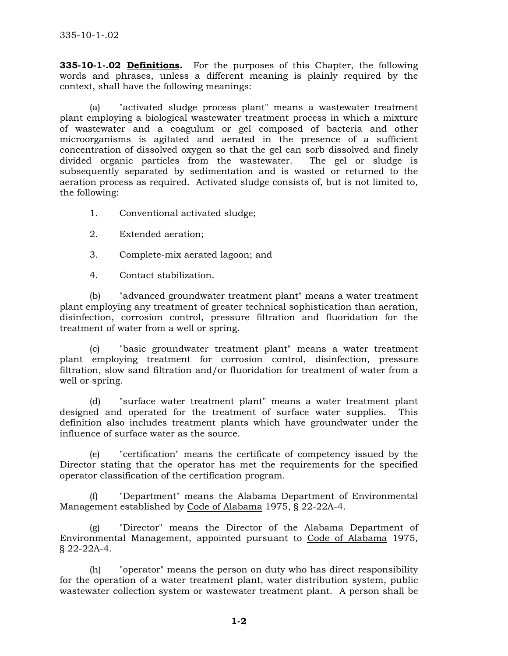**335-10-1-.02 Definitions.** For the purposes of this Chapter, the following words and phrases, unless a different meaning is plainly required by the context, shall have the following meanings:

 (a) "activated sludge process plant" means a wastewater treatment plant employing a biological wastewater treatment process in which a mixture of wastewater and a coagulum or gel composed of bacteria and other microorganisms is agitated and aerated in the presence of a sufficient concentration of dissolved oxygen so that the gel can sorb dissolved and finely divided organic particles from the wastewater. The gel or sludge is subsequently separated by sedimentation and is wasted or returned to the aeration process as required. Activated sludge consists of, but is not limited to, the following:

- 1. Conventional activated sludge;
- 2. Extended aeration;
- 3. Complete-mix aerated lagoon; and
- 4. Contact stabilization.

 (b) "advanced groundwater treatment plant" means a water treatment plant employing any treatment of greater technical sophistication than aeration, disinfection, corrosion control, pressure filtration and fluoridation for the treatment of water from a well or spring.

 (c) "basic groundwater treatment plant" means a water treatment plant employing treatment for corrosion control, disinfection, pressure filtration, slow sand filtration and/or fluoridation for treatment of water from a well or spring.

 (d) "surface water treatment plant" means a water treatment plant designed and operated for the treatment of surface water supplies. This definition also includes treatment plants which have groundwater under the influence of surface water as the source.

 (e) "certification" means the certificate of competency issued by the Director stating that the operator has met the requirements for the specified operator classification of the certification program.

 (f) "Department" means the Alabama Department of Environmental Management established by Code of Alabama 1975, § 22-22A-4.

 (g) "Director" means the Director of the Alabama Department of Environmental Management, appointed pursuant to Code of Alabama 1975, § 22-22A-4.

 (h) "operator" means the person on duty who has direct responsibility for the operation of a water treatment plant, water distribution system, public wastewater collection system or wastewater treatment plant. A person shall be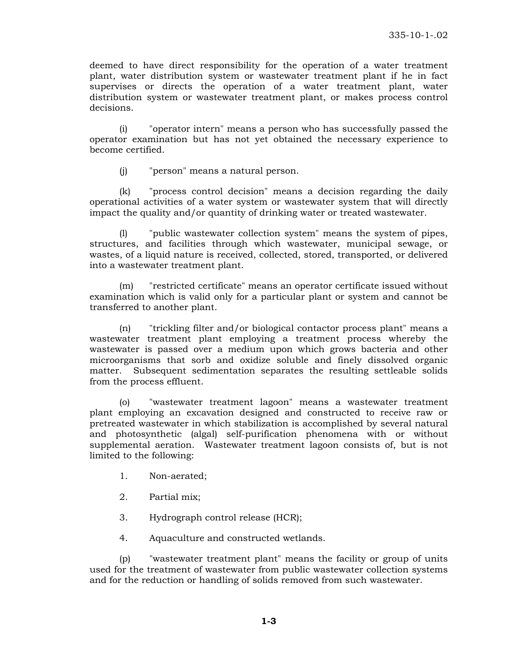deemed to have direct responsibility for the operation of a water treatment plant, water distribution system or wastewater treatment plant if he in fact supervises or directs the operation of a water treatment plant, water distribution system or wastewater treatment plant, or makes process control decisions.

 (i) "operator intern" means a person who has successfully passed the operator examination but has not yet obtained the necessary experience to become certified.

(j) "person" means a natural person.

 (k) "process control decision" means a decision regarding the daily operational activities of a water system or wastewater system that will directly impact the quality and/or quantity of drinking water or treated wastewater.

 (l) "public wastewater collection system" means the system of pipes, structures, and facilities through which wastewater, municipal sewage, or wastes, of a liquid nature is received, collected, stored, transported, or delivered into a wastewater treatment plant.

 (m) "restricted certificate" means an operator certificate issued without examination which is valid only for a particular plant or system and cannot be transferred to another plant.

 (n) "trickling filter and/or biological contactor process plant" means a wastewater treatment plant employing a treatment process whereby the wastewater is passed over a medium upon which grows bacteria and other microorganisms that sorb and oxidize soluble and finely dissolved organic matter. Subsequent sedimentation separates the resulting settleable solids from the process effluent.

 (o) "wastewater treatment lagoon" means a wastewater treatment plant employing an excavation designed and constructed to receive raw or pretreated wastewater in which stabilization is accomplished by several natural and photosynthetic (algal) self-purification phenomena with or without supplemental aeration. Wastewater treatment lagoon consists of, but is not limited to the following:

- 1. Non-aerated;
- 2. Partial mix;
- 3. Hydrograph control release (HCR);
- 4. Aquaculture and constructed wetlands.

 (p) "wastewater treatment plant" means the facility or group of units used for the treatment of wastewater from public wastewater collection systems and for the reduction or handling of solids removed from such wastewater.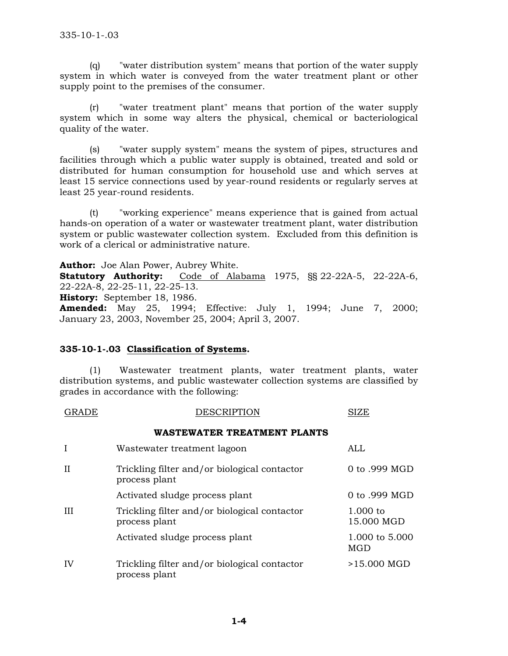(q) "water distribution system" means that portion of the water supply system in which water is conveyed from the water treatment plant or other supply point to the premises of the consumer.

 (r) "water treatment plant" means that portion of the water supply system which in some way alters the physical, chemical or bacteriological quality of the water.

 (s) "water supply system" means the system of pipes, structures and facilities through which a public water supply is obtained, treated and sold or distributed for human consumption for household use and which serves at least 15 service connections used by year-round residents or regularly serves at least 25 year-round residents.

 (t) "working experience" means experience that is gained from actual hands-on operation of a water or wastewater treatment plant, water distribution system or public wastewater collection system. Excluded from this definition is work of a clerical or administrative nature.

**Author:** Joe Alan Power, Aubrey White.

**Statutory Authority:** Code of Alabama 1975, §§ 22-22A-5, 22-22A-6, 22-22A-8, 22-25-11, 22-25-13. **History:** September 18, 1986. **Amended:** May 25, 1994; Effective: July 1, 1994; June 7, 2000;

January 23, 2003, November 25, 2004; April 3, 2007.

## **335-10-1-.03 Classification of Systems.**

 (1) Wastewater treatment plants, water treatment plants, water distribution systems, and public wastewater collection systems are classified by grades in accordance with the following:

| GRADE | <b>DESCRIPTION</b> | <b>SIZE</b> |
|-------|--------------------|-------------|
|       |                    |             |

#### **WASTEWATER TREATMENT PLANTS**

| I        | Wastewater treatment lagoon                                   | ALL                      |
|----------|---------------------------------------------------------------|--------------------------|
| $\rm II$ | Trickling filter and/or biological contactor<br>process plant | 0 to .999 MGD            |
|          | Activated sludge process plant                                | 0 to .999 MGD            |
| H        | Trickling filter and/or biological contactor<br>process plant | $1.000$ to<br>15.000 MGD |
|          | Activated sludge process plant                                | 1.000 to 5.000<br>MGD    |
| IV       | Trickling filter and/or biological contactor<br>process plant | >15.000 MGD              |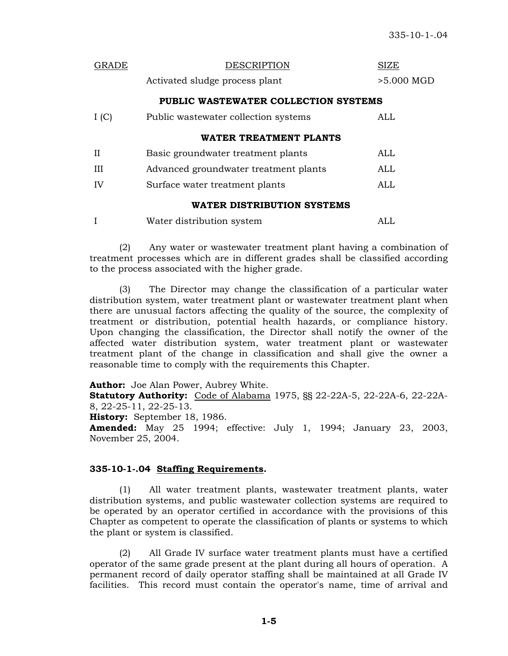| GRADE                             | <b>DESCRIPTION</b>                    | SIZE         |
|-----------------------------------|---------------------------------------|--------------|
|                                   | Activated sludge process plant        | $>5.000$ MGD |
|                                   | PUBLIC WASTEWATER COLLECTION SYSTEMS  |              |
| I(C)                              | Public was tewater collection systems | ALL          |
|                                   | WATER TREATMENT PLANTS                |              |
| H                                 | Basic groundwater treatment plants    | ALL          |
| Ш                                 | Advanced groundwater treatment plants | ALL          |
| IV                                | Surface water treatment plants        | ALL          |
| <b>WATER DISTRIBUTION SYSTEMS</b> |                                       |              |
|                                   |                                       |              |

|  | Water distribution system | ALL |
|--|---------------------------|-----|
|--|---------------------------|-----|

 (2) Any water or wastewater treatment plant having a combination of treatment processes which are in different grades shall be classified according to the process associated with the higher grade.

 (3) The Director may change the classification of a particular water distribution system, water treatment plant or wastewater treatment plant when there are unusual factors affecting the quality of the source, the complexity of treatment or distribution, potential health hazards, or compliance history. Upon changing the classification, the Director shall notify the owner of the affected water distribution system, water treatment plant or wastewater treatment plant of the change in classification and shall give the owner a reasonable time to comply with the requirements this Chapter.

**Author:** Joe Alan Power, Aubrey White.

**Statutory Authority:** Code of Alabama 1975, §§ 22-22A-5, 22-22A-6, 22-22A-8, 22-25-11, 22-25-13.

**History:** September 18, 1986.

**Amended:** May 25 1994; effective: July 1, 1994; January 23, 2003, November 25, 2004.

## **335-10-1-.04 Staffing Requirements.**

 (1) All water treatment plants, wastewater treatment plants, water distribution systems, and public wastewater collection systems are required to be operated by an operator certified in accordance with the provisions of this Chapter as competent to operate the classification of plants or systems to which the plant or system is classified.

 (2) All Grade IV surface water treatment plants must have a certified operator of the same grade present at the plant during all hours of operation. A permanent record of daily operator staffing shall be maintained at all Grade IV facilities. This record must contain the operator's name, time of arrival and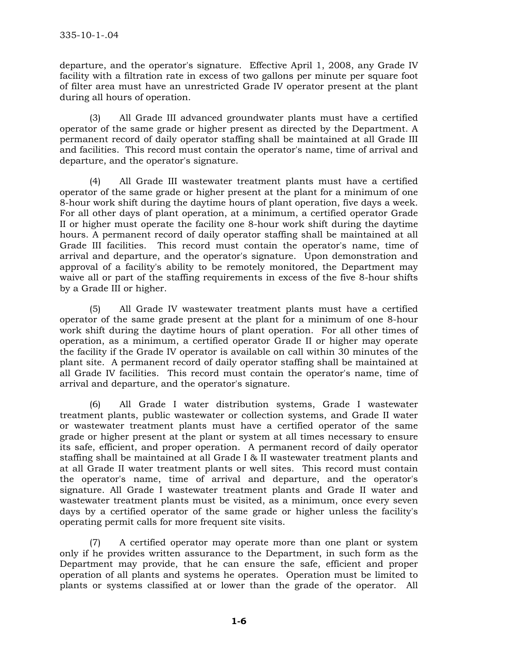departure, and the operator's signature. Effective April 1, 2008, any Grade IV facility with a filtration rate in excess of two gallons per minute per square foot of filter area must have an unrestricted Grade IV operator present at the plant during all hours of operation.

(3) All Grade III advanced groundwater plants must have a certified operator of the same grade or higher present as directed by the Department. A permanent record of daily operator staffing shall be maintained at all Grade III and facilities. This record must contain the operator's name, time of arrival and departure, and the operator's signature.

 (4) All Grade III wastewater treatment plants must have a certified operator of the same grade or higher present at the plant for a minimum of one 8-hour work shift during the daytime hours of plant operation, five days a week. For all other days of plant operation, at a minimum, a certified operator Grade II or higher must operate the facility one 8-hour work shift during the daytime hours. A permanent record of daily operator staffing shall be maintained at all Grade III facilities. This record must contain the operator's name, time of arrival and departure, and the operator's signature. Upon demonstration and approval of a facility's ability to be remotely monitored, the Department may waive all or part of the staffing requirements in excess of the five 8-hour shifts by a Grade III or higher.

 (5) All Grade IV wastewater treatment plants must have a certified operator of the same grade present at the plant for a minimum of one 8-hour work shift during the daytime hours of plant operation. For all other times of operation, as a minimum, a certified operator Grade II or higher may operate the facility if the Grade IV operator is available on call within 30 minutes of the plant site. A permanent record of daily operator staffing shall be maintained at all Grade IV facilities. This record must contain the operator's name, time of arrival and departure, and the operator's signature.

 (6) All Grade I water distribution systems, Grade I wastewater treatment plants, public wastewater or collection systems, and Grade II water or wastewater treatment plants must have a certified operator of the same grade or higher present at the plant or system at all times necessary to ensure its safe, efficient, and proper operation. A permanent record of daily operator staffing shall be maintained at all Grade I & II wastewater treatment plants and at all Grade II water treatment plants or well sites. This record must contain the operator's name, time of arrival and departure, and the operator's signature. All Grade I wastewater treatment plants and Grade II water and wastewater treatment plants must be visited, as a minimum, once every seven days by a certified operator of the same grade or higher unless the facility's operating permit calls for more frequent site visits.

 (7) A certified operator may operate more than one plant or system only if he provides written assurance to the Department, in such form as the Department may provide, that he can ensure the safe, efficient and proper operation of all plants and systems he operates. Operation must be limited to plants or systems classified at or lower than the grade of the operator. All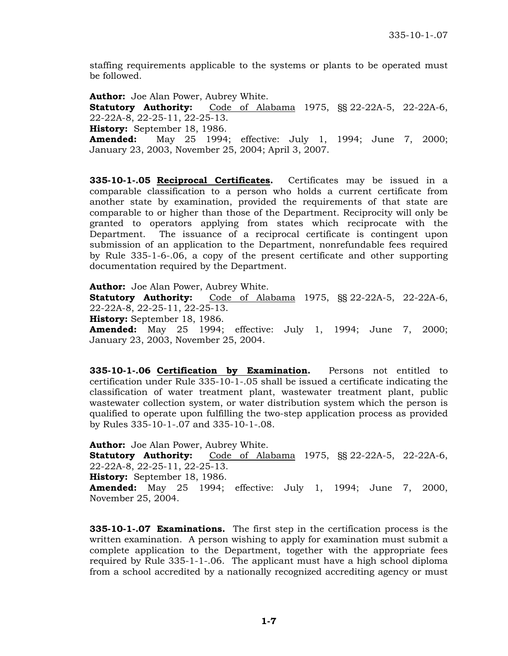staffing requirements applicable to the systems or plants to be operated must be followed.

**Author:** Joe Alan Power, Aubrey White.

**Statutory Authority:** Code of Alabama 1975, §§ 22-22A-5, 22-22A-6, 22-22A-8, 22-25-11, 22-25-13.

**History:** September 18, 1986.

**Amended:** May 25 1994; effective: July 1, 1994; June 7, 2000; January 23, 2003, November 25, 2004; April 3, 2007.

**335-10-1-.05 Reciprocal Certificates.** Certificates may be issued in a comparable classification to a person who holds a current certificate from another state by examination, provided the requirements of that state are comparable to or higher than those of the Department. Reciprocity will only be granted to operators applying from states which reciprocate with the Department. The issuance of a reciprocal certificate is contingent upon submission of an application to the Department, nonrefundable fees required by Rule 335-1-6-.06, a copy of the present certificate and other supporting documentation required by the Department.

**Author:** Joe Alan Power, Aubrey White.

**Statutory Authority:** Code of Alabama 1975, §§ 22-22A-5, 22-22A-6, 22-22A-8, 22-25-11, 22-25-13.

**History:** September 18, 1986.

**Amended:** May 25 1994; effective: July 1, 1994; June 7, 2000; January 23, 2003, November 25, 2004.

**335-10-1-.06 Certification by Examination.** Persons not entitled to certification under Rule 335-10-1-.05 shall be issued a certificate indicating the classification of water treatment plant, wastewater treatment plant, public wastewater collection system, or water distribution system which the person is qualified to operate upon fulfilling the two-step application process as provided by Rules 335-10-1-.07 and 335-10-1-.08.

**Author:** Joe Alan Power, Aubrey White. **Statutory Authority:** Code of Alabama 1975, §§ 22-22A-5, 22-22A-6, 22-22A-8, 22-25-11, 22-25-13. **History:** September 18, 1986. **Amended:** May 25 1994; effective: July 1, 1994; June 7, 2000, November 25, 2004.

**335-10-1-.07 Examinations.** The first step in the certification process is the written examination. A person wishing to apply for examination must submit a complete application to the Department, together with the appropriate fees required by Rule 335-1-1-.06. The applicant must have a high school diploma from a school accredited by a nationally recognized accrediting agency or must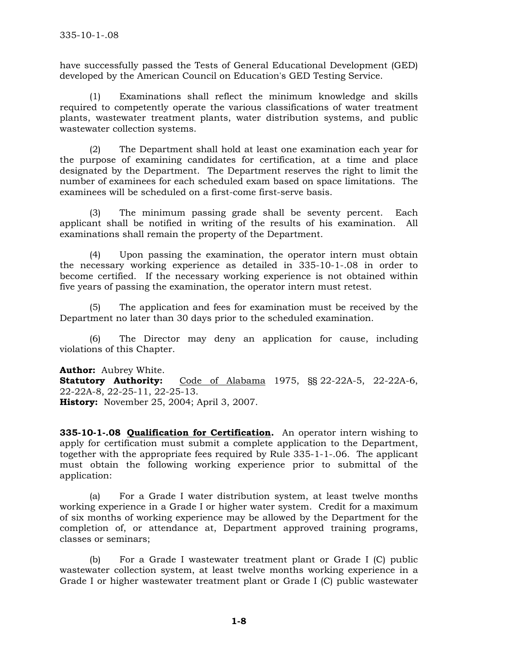have successfully passed the Tests of General Educational Development (GED) developed by the American Council on Education's GED Testing Service.

 (1) Examinations shall reflect the minimum knowledge and skills required to competently operate the various classifications of water treatment plants, wastewater treatment plants, water distribution systems, and public wastewater collection systems.

 (2) The Department shall hold at least one examination each year for the purpose of examining candidates for certification, at a time and place designated by the Department. The Department reserves the right to limit the number of examinees for each scheduled exam based on space limitations. The examinees will be scheduled on a first-come first-serve basis.

 (3) The minimum passing grade shall be seventy percent. Each applicant shall be notified in writing of the results of his examination. All examinations shall remain the property of the Department.

 (4) Upon passing the examination, the operator intern must obtain the necessary working experience as detailed in 335-10-1-.08 in order to become certified. If the necessary working experience is not obtained within five years of passing the examination, the operator intern must retest.

 (5) The application and fees for examination must be received by the Department no later than 30 days prior to the scheduled examination.

(6) The Director may deny an application for cause, including violations of this Chapter.

**Author:** Aubrey White. **Statutory Authority:** Code of Alabama 1975, §§ 22-22A-5, 22-22A-6, 22-22A-8, 22-25-11, 22-25-13. **History:** November 25, 2004; April 3, 2007.

**335-10-1-.08 Qualification for Certification.** An operator intern wishing to apply for certification must submit a complete application to the Department, together with the appropriate fees required by Rule 335-1-1-.06. The applicant must obtain the following working experience prior to submittal of the application:

 (a) For a Grade I water distribution system, at least twelve months working experience in a Grade I or higher water system. Credit for a maximum of six months of working experience may be allowed by the Department for the completion of, or attendance at, Department approved training programs, classes or seminars;

 (b) For a Grade I wastewater treatment plant or Grade I (C) public wastewater collection system, at least twelve months working experience in a Grade I or higher wastewater treatment plant or Grade I (C) public wastewater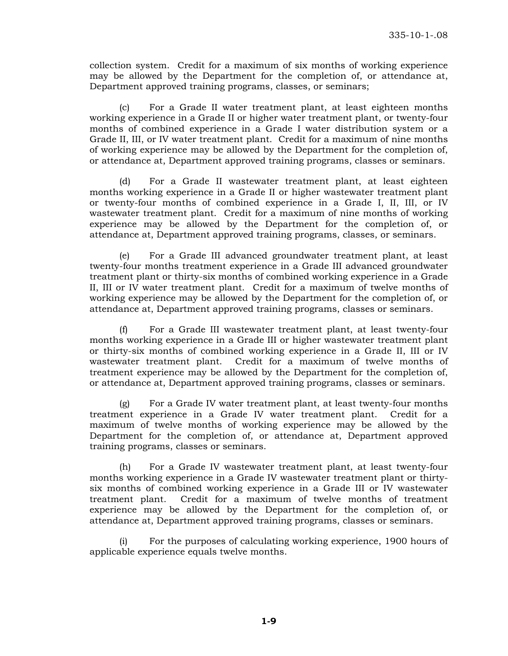collection system. Credit for a maximum of six months of working experience may be allowed by the Department for the completion of, or attendance at, Department approved training programs, classes, or seminars;

 (c) For a Grade II water treatment plant, at least eighteen months working experience in a Grade II or higher water treatment plant, or twenty-four months of combined experience in a Grade I water distribution system or a Grade II, III, or IV water treatment plant. Credit for a maximum of nine months of working experience may be allowed by the Department for the completion of, or attendance at, Department approved training programs, classes or seminars.

 (d) For a Grade II wastewater treatment plant, at least eighteen months working experience in a Grade II or higher wastewater treatment plant or twenty-four months of combined experience in a Grade I, II, III, or IV wastewater treatment plant. Credit for a maximum of nine months of working experience may be allowed by the Department for the completion of, or attendance at, Department approved training programs, classes, or seminars.

 (e) For a Grade III advanced groundwater treatment plant, at least twenty-four months treatment experience in a Grade III advanced groundwater treatment plant or thirty-six months of combined working experience in a Grade II, III or IV water treatment plant. Credit for a maximum of twelve months of working experience may be allowed by the Department for the completion of, or attendance at, Department approved training programs, classes or seminars.

For a Grade III wastewater treatment plant, at least twenty-four months working experience in a Grade III or higher wastewater treatment plant or thirty-six months of combined working experience in a Grade II, III or IV wastewater treatment plant. Credit for a maximum of twelve months of treatment experience may be allowed by the Department for the completion of, or attendance at, Department approved training programs, classes or seminars.

 (g) For a Grade IV water treatment plant, at least twenty-four months treatment experience in a Grade IV water treatment plant. Credit for a maximum of twelve months of working experience may be allowed by the Department for the completion of, or attendance at, Department approved training programs, classes or seminars.

 (h) For a Grade IV wastewater treatment plant, at least twenty-four months working experience in a Grade IV wastewater treatment plant or thirtysix months of combined working experience in a Grade III or IV wastewater treatment plant. Credit for a maximum of twelve months of treatment experience may be allowed by the Department for the completion of, or attendance at, Department approved training programs, classes or seminars.

 (i) For the purposes of calculating working experience, 1900 hours of applicable experience equals twelve months.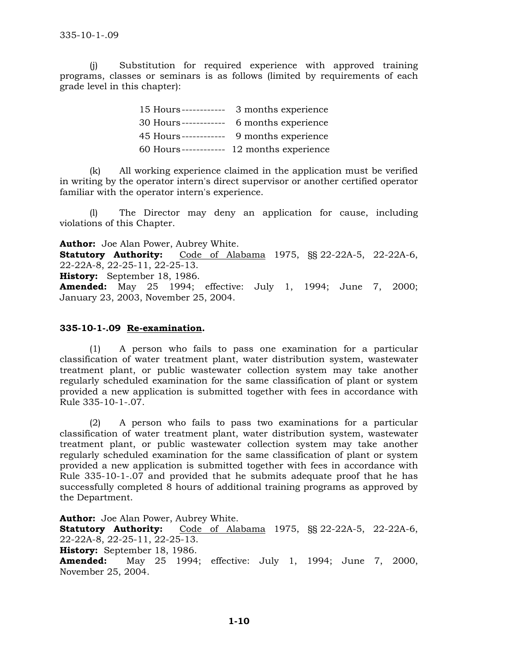(j) Substitution for required experience with approved training programs, classes or seminars is as follows (limited by requirements of each grade level in this chapter):

| 15 Hours------------  | 3 months experience  |
|-----------------------|----------------------|
| 30 Hours ------------ | 6 months experience  |
| 45 Hours------------  | 9 months experience  |
| 60 Hours------------  | 12 months experience |

 (k) All working experience claimed in the application must be verified in writing by the operator intern's direct supervisor or another certified operator familiar with the operator intern's experience.

(l) The Director may deny an application for cause, including violations of this Chapter.

**Author:** Joe Alan Power, Aubrey White. **Statutory Authority:** Code of Alabama 1975, §§ 22-22A-5, 22-22A-6, 22-22A-8, 22-25-11, 22-25-13. **History:** September 18, 1986. **Amended:** May 25 1994; effective: July 1, 1994; June 7, 2000; January 23, 2003, November 25, 2004.

### **335-10-1-.09 Re-examination.**

 (1) A person who fails to pass one examination for a particular classification of water treatment plant, water distribution system, wastewater treatment plant, or public wastewater collection system may take another regularly scheduled examination for the same classification of plant or system provided a new application is submitted together with fees in accordance with Rule 335-10-1-.07.

 (2) A person who fails to pass two examinations for a particular classification of water treatment plant, water distribution system, wastewater treatment plant, or public wastewater collection system may take another regularly scheduled examination for the same classification of plant or system provided a new application is submitted together with fees in accordance with Rule 335-10-1-.07 and provided that he submits adequate proof that he has successfully completed 8 hours of additional training programs as approved by the Department.

**Author:** Joe Alan Power, Aubrey White. **Statutory Authority:** Code of Alabama 1975, §§ 22-22A-5, 22-22A-6, 22-22A-8, 22-25-11, 22-25-13. **History:** September 18, 1986. **Amended:** May 25 1994; effective: July 1, 1994; June 7, 2000, November 25, 2004.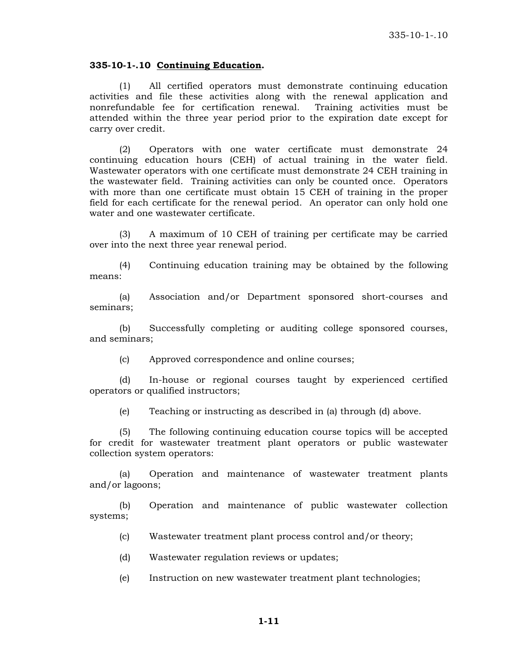#### **335-10-1-.10 Continuing Education.**

 (1) All certified operators must demonstrate continuing education activities and file these activities along with the renewal application and nonrefundable fee for certification renewal. Training activities must be attended within the three year period prior to the expiration date except for carry over credit.

 (2) Operators with one water certificate must demonstrate 24 continuing education hours (CEH) of actual training in the water field. Wastewater operators with one certificate must demonstrate 24 CEH training in the wastewater field. Training activities can only be counted once. Operators with more than one certificate must obtain 15 CEH of training in the proper field for each certificate for the renewal period. An operator can only hold one water and one wastewater certificate.

 (3) A maximum of 10 CEH of training per certificate may be carried over into the next three year renewal period.

 (4) Continuing education training may be obtained by the following means:

 (a) Association and/or Department sponsored short-courses and seminars;

 (b) Successfully completing or auditing college sponsored courses, and seminars;

(c) Approved correspondence and online courses;

 (d) In-house or regional courses taught by experienced certified operators or qualified instructors;

(e) Teaching or instructing as described in (a) through (d) above.

 (5) The following continuing education course topics will be accepted for credit for wastewater treatment plant operators or public wastewater collection system operators:

 (a) Operation and maintenance of wastewater treatment plants and/or lagoons;

(b) Operation and maintenance of public wastewater collection systems;

- (c) Wastewater treatment plant process control and/or theory;
- (d) Wastewater regulation reviews or updates;
- (e) Instruction on new wastewater treatment plant technologies;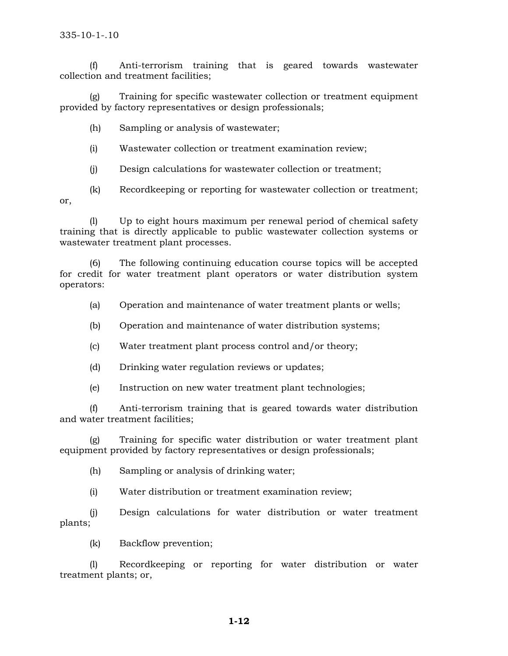(f) Anti-terrorism training that is geared towards wastewater collection and treatment facilities;

(g) Training for specific wastewater collection or treatment equipment provided by factory representatives or design professionals;

(h) Sampling or analysis of wastewater;

(i) Wastewater collection or treatment examination review;

(j) Design calculations for wastewater collection or treatment;

(k) Recordkeeping or reporting for wastewater collection or treatment; or,

(l) Up to eight hours maximum per renewal period of chemical safety training that is directly applicable to public wastewater collection systems or wastewater treatment plant processes.

 (6) The following continuing education course topics will be accepted for credit for water treatment plant operators or water distribution system operators:

(a) Operation and maintenance of water treatment plants or wells;

(b) Operation and maintenance of water distribution systems;

(c) Water treatment plant process control and/or theory;

(d) Drinking water regulation reviews or updates;

(e) Instruction on new water treatment plant technologies;

(f) Anti-terrorism training that is geared towards water distribution and water treatment facilities;

(g) Training for specific water distribution or water treatment plant equipment provided by factory representatives or design professionals;

(h) Sampling or analysis of drinking water;

(i) Water distribution or treatment examination review;

(j) Design calculations for water distribution or water treatment plants;

(k) Backflow prevention;

(l) Recordkeeping or reporting for water distribution or water treatment plants; or,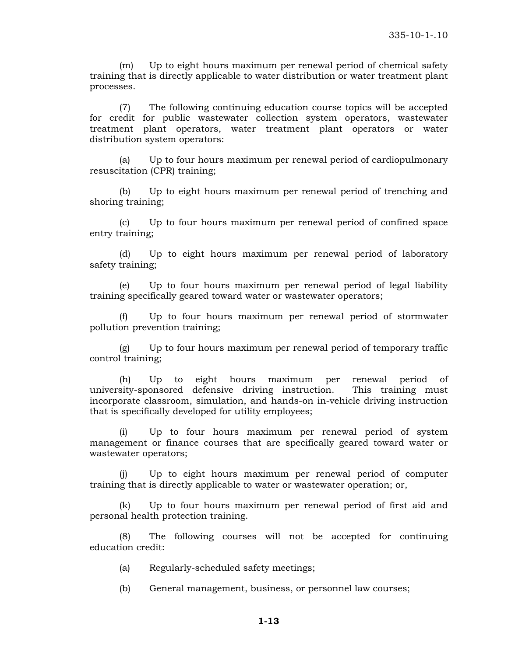(m) Up to eight hours maximum per renewal period of chemical safety training that is directly applicable to water distribution or water treatment plant processes.

(7) The following continuing education course topics will be accepted for credit for public wastewater collection system operators, wastewater treatment plant operators, water treatment plant operators or water distribution system operators:

(a) Up to four hours maximum per renewal period of cardiopulmonary resuscitation (CPR) training;

(b) Up to eight hours maximum per renewal period of trenching and shoring training;

(c) Up to four hours maximum per renewal period of confined space entry training;

(d) Up to eight hours maximum per renewal period of laboratory safety training;

(e) Up to four hours maximum per renewal period of legal liability training specifically geared toward water or wastewater operators;

(f) Up to four hours maximum per renewal period of stormwater pollution prevention training;

(g) Up to four hours maximum per renewal period of temporary traffic control training;

(h) Up to eight hours maximum per renewal period of university-sponsored defensive driving instruction. This training must incorporate classroom, simulation, and hands-on in-vehicle driving instruction that is specifically developed for utility employees;

(i) Up to four hours maximum per renewal period of system management or finance courses that are specifically geared toward water or wastewater operators;

(j) Up to eight hours maximum per renewal period of computer training that is directly applicable to water or wastewater operation; or,

(k) Up to four hours maximum per renewal period of first aid and personal health protection training.

(8) The following courses will not be accepted for continuing education credit:

- (a) Regularly-scheduled safety meetings;
- (b) General management, business, or personnel law courses;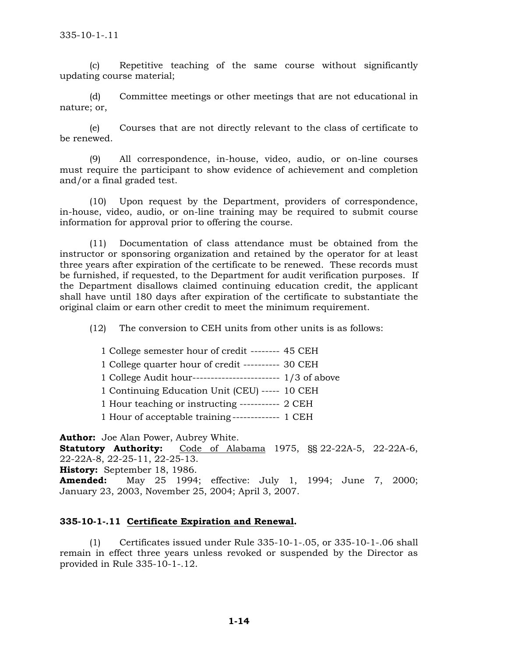(c) Repetitive teaching of the same course without significantly updating course material;

(d) Committee meetings or other meetings that are not educational in nature; or,

(e) Courses that are not directly relevant to the class of certificate to be renewed.

(9) All correspondence, in-house, video, audio, or on-line courses must require the participant to show evidence of achievement and completion and/or a final graded test.

(10) Upon request by the Department, providers of correspondence, in-house, video, audio, or on-line training may be required to submit course information for approval prior to offering the course.

 (11) Documentation of class attendance must be obtained from the instructor or sponsoring organization and retained by the operator for at least three years after expiration of the certificate to be renewed. These records must be furnished, if requested, to the Department for audit verification purposes. If the Department disallows claimed continuing education credit, the applicant shall have until 180 days after expiration of the certificate to substantiate the original claim or earn other credit to meet the minimum requirement.

(12) The conversion to CEH units from other units is as follows:

1 College semester hour of credit -------- 45 CEH 1 College quarter hour of credit ---------- 30 CEH 1 College Audit hour------------------------ 1/3 of above 1 Continuing Education Unit (CEU) ----- 10 CEH

1 Hour teaching or instructing ----------- 2 CEH

1 Hour of acceptable training ------------- 1 CEH

**Author:** Joe Alan Power, Aubrey White. **Statutory Authority:** Code of Alabama 1975, §§ 22-22A-5, 22-22A-6, 22-22A-8, 22-25-11, 22-25-13. **History:** September 18, 1986. **Amended:** May 25 1994; effective: July 1, 1994; June 7, 2000; January 23, 2003, November 25, 2004; April 3, 2007.

## **335-10-1-.11 Certificate Expiration and Renewal.**

 (1) Certificates issued under Rule 335-10-1-.05, or 335-10-1-.06 shall remain in effect three years unless revoked or suspended by the Director as provided in Rule 335-10-1-.12.

**1-14**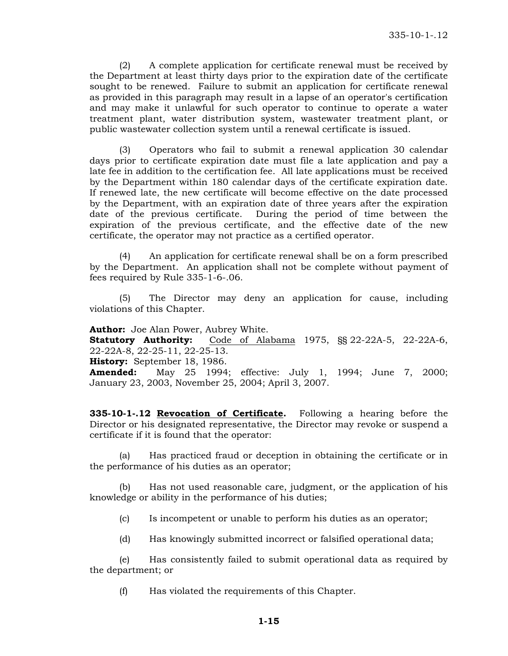(2) A complete application for certificate renewal must be received by the Department at least thirty days prior to the expiration date of the certificate sought to be renewed. Failure to submit an application for certificate renewal as provided in this paragraph may result in a lapse of an operator's certification and may make it unlawful for such operator to continue to operate a water treatment plant, water distribution system, wastewater treatment plant, or public wastewater collection system until a renewal certificate is issued.

 (3) Operators who fail to submit a renewal application 30 calendar days prior to certificate expiration date must file a late application and pay a late fee in addition to the certification fee. All late applications must be received by the Department within 180 calendar days of the certificate expiration date. If renewed late, the new certificate will become effective on the date processed by the Department, with an expiration date of three years after the expiration date of the previous certificate. During the period of time between the expiration of the previous certificate, and the effective date of the new certificate, the operator may not practice as a certified operator.

 (4) An application for certificate renewal shall be on a form prescribed by the Department. An application shall not be complete without payment of fees required by Rule 335-1-6-.06.

 (5) The Director may deny an application for cause, including violations of this Chapter.

**Author:** Joe Alan Power, Aubrey White. **Statutory Authority:** Code of Alabama 1975, §§ 22-22A-5, 22-22A-6,

22-22A-8, 22-25-11, 22-25-13.

**History:** September 18, 1986.

**Amended:** May 25 1994; effective: July 1, 1994; June 7, 2000; January 23, 2003, November 25, 2004; April 3, 2007.

**335-10-1-.12 Revocation of Certificate.** Following a hearing before the Director or his designated representative, the Director may revoke or suspend a certificate if it is found that the operator:

 (a) Has practiced fraud or deception in obtaining the certificate or in the performance of his duties as an operator;

 (b) Has not used reasonable care, judgment, or the application of his knowledge or ability in the performance of his duties;

(c) Is incompetent or unable to perform his duties as an operator;

(d) Has knowingly submitted incorrect or falsified operational data;

 (e) Has consistently failed to submit operational data as required by the department; or

(f) Has violated the requirements of this Chapter.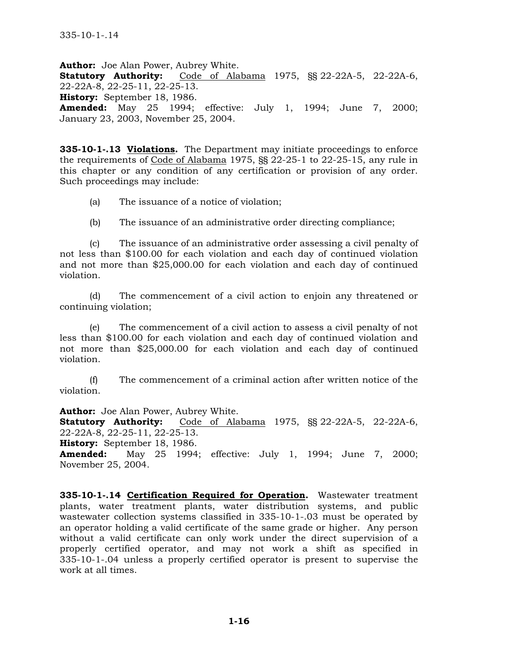**Author:** Joe Alan Power, Aubrey White. **Statutory Authority:** Code of Alabama 1975, §§ 22-22A-5, 22-22A-6, 22-22A-8, 22-25-11, 22-25-13. **History:** September 18, 1986. **Amended:** May 25 1994; effective: July 1, 1994; June 7, 2000; January 23, 2003, November 25, 2004.

**335-10-1-.13 Violations.** The Department may initiate proceedings to enforce the requirements of Code of Alabama 1975, §§ 22-25-1 to 22-25-15, any rule in this chapter or any condition of any certification or provision of any order. Such proceedings may include:

(a) The issuance of a notice of violation;

(b) The issuance of an administrative order directing compliance;

 (c) The issuance of an administrative order assessing a civil penalty of not less than \$100.00 for each violation and each day of continued violation and not more than \$25,000.00 for each violation and each day of continued violation.

 (d) The commencement of a civil action to enjoin any threatened or continuing violation;

 (e) The commencement of a civil action to assess a civil penalty of not less than \$100.00 for each violation and each day of continued violation and not more than \$25,000.00 for each violation and each day of continued violation.

 (f) The commencement of a criminal action after written notice of the violation.

**Author:** Joe Alan Power, Aubrey White. **Statutory Authority:** Code of Alabama 1975, §§ 22-22A-5, 22-22A-6, 22-22A-8, 22-25-11, 22-25-13.

**History:** September 18, 1986.

**Amended:** May 25 1994; effective: July 1, 1994; June 7, 2000; November 25, 2004.

**335-10-1-.14 Certification Required for Operation.** Wastewater treatment plants, water treatment plants, water distribution systems, and public wastewater collection systems classified in 335-10-1-.03 must be operated by an operator holding a valid certificate of the same grade or higher. Any person without a valid certificate can only work under the direct supervision of a properly certified operator, and may not work a shift as specified in 335-10-1-.04 unless a properly certified operator is present to supervise the work at all times.